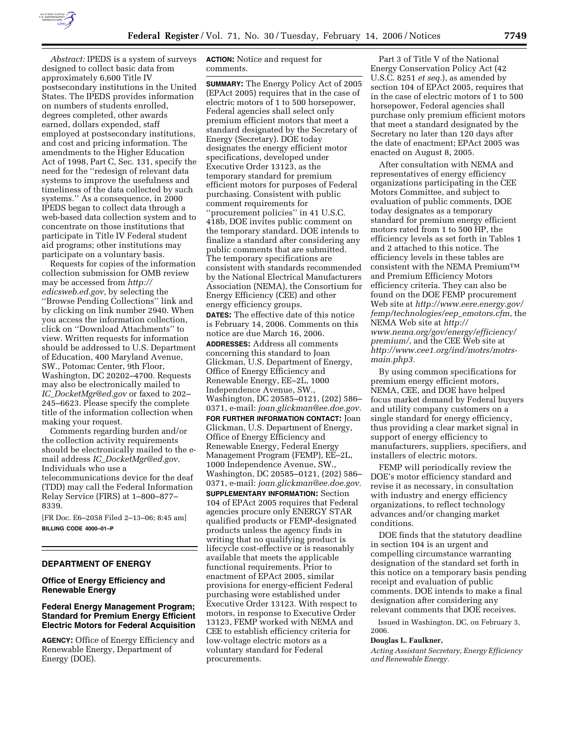

*Abstract:* IPEDS is a system of surveys designed to collect basic data from approximately 6,600 Title IV postsecondary institutions in the United States. The IPEDS provides information on numbers of students enrolled, degrees completed, other awards earned, dollars expended, staff employed at postsecondary institutions, and cost and pricing information. The amendments to the Higher Education Act of 1998, Part C, Sec. 131, specify the need for the ''redesign of relevant data systems to improve the usefulness and timeliness of the data collected by such systems.'' As a consequence, in 2000 IPEDS began to collect data through a web-based data collection system and to concentrate on those institutions that participate in Title IV Federal student aid programs; other institutions may participate on a voluntary basis.

Requests for copies of the information collection submission for OMB review may be accessed from *http:// edicsweb.ed.gov,* by selecting the ''Browse Pending Collections'' link and by clicking on link number 2940. When you access the information collection, click on ''Download Attachments'' to view. Written requests for information should be addressed to U.S. Department of Education, 400 Maryland Avenue, SW., Potomac Center, 9th Floor, Washington, DC 20202–4700. Requests may also be electronically mailed to *IC*\_*DocketMgr@ed.gov* or faxed to 202– 245–6623. Please specify the complete title of the information collection when making your request.

Comments regarding burden and/or the collection activity requirements should be electronically mailed to the email address *IC*\_*DocketMgr@ed.gov.*  Individuals who use a telecommunications device for the deaf (TDD) may call the Federal Information Relay Service (FIRS) at 1–800–877– 8339.

[FR Doc. E6–2058 Filed 2–13–06; 8:45 am] **BILLING CODE 4000–01–P** 

#### **DEPARTMENT OF ENERGY**

# **Office of Energy Efficiency and Renewable Energy**

# **Federal Energy Management Program; Standard for Premium Energy Efficient Electric Motors for Federal Acquisition**

**AGENCY:** Office of Energy Efficiency and Renewable Energy, Department of Energy (DOE).

## **ACTION:** Notice and request for comments.

**SUMMARY:** The Energy Policy Act of 2005 (EPAct 2005) requires that in the case of electric motors of 1 to 500 horsepower, Federal agencies shall select only premium efficient motors that meet a standard designated by the Secretary of Energy (Secretary). DOE today designates the energy efficient motor specifications, developed under Executive Order 13123, as the temporary standard for premium efficient motors for purposes of Federal purchasing. Consistent with public comment requirements for ''procurement policies'' in 41 U.S.C. 418b, DOE invites public comment on the temporary standard. DOE intends to finalize a standard after considering any public comments that are submitted. The temporary specifications are consistent with standards recommended by the National Electrical Manufacturers Association (NEMA), the Consortium for Energy Efficiency (CEE) and other energy efficiency groups. **DATES:** The effective date of this notice is February 14, 2006. Comments on this notice are due March 16, 2006. **ADDRESSES:** Address all comments concerning this standard to Joan Glickman, U.S. Department of Energy, Office of Energy Efficiency and Renewable Energy, EE–2L, 1000 Independence Avenue, SW., Washington, DC 20585–0121, (202) 586– 0371, e-mail: *joan.glickman@ee.doe.gov.*  **FOR FURTHER INFORMATION CONTACT:** Joan Glickman, U.S. Department of Energy, Office of Energy Efficiency and Renewable Energy, Federal Energy Management Program (FEMP), EE–2L, 1000 Independence Avenue, SW., Washington, DC 20585–0121, (202) 586– 0371, e-mail: *joan.glickman@ee.doe.gov.*  **SUPPLEMENTARY INFORMATION:** Section 104 of EPAct 2005 requires that Federal agencies procure only ENERGY STAR qualified products or FEMP-designated products unless the agency finds in writing that no qualifying product is lifecycle cost-effective or is reasonably available that meets the applicable functional requirements. Prior to enactment of EPAct 2005, similar provisions for energy-efficient Federal purchasing were established under Executive Order 13123. With respect to motors, in response to Executive Order 13123, FEMP worked with NEMA and CEE to establish efficiency criteria for low-voltage electric motors as a voluntary standard for Federal procurements.

Part 3 of Title V of the National Energy Conservation Policy Act (42 U.S.C. 8251 *et seq.*), as amended by section 104 of EPAct 2005, requires that in the case of electric motors of 1 to 500 horsepower, Federal agencies shall purchase only premium efficient motors that meet a standard designated by the Secretary no later than 120 days after the date of enactment; EPAct 2005 was enacted on August 8, 2005.

After consultation with NEMA and representatives of energy efficiency organizations participating in the CEE Motors Committee, and subject to evaluation of public comments, DOE today designates as a temporary standard for premium energy efficient motors rated from 1 to 500 HP, the efficiency levels as set forth in Tables 1 and 2 attached to this notice. The efficiency levels in these tables are consistent with the NEMA PremiumTM and Premium Efficiency Motors efficiency criteria. They can also be found on the DOE FEMP procurement Web site at *http://www.eere.energy.gov/ femp/technologies/eep*\_*emotors.cfm*, the NEMA Web site at *http:// www.nema.org/gov/energy/efficiency/ premium/*, and the CEE Web site at *http://www.cee1.org/ind/motrs/motrsmain.php3.* 

By using common specifications for premium energy efficient motors, NEMA, CEE, and DOE have helped focus market demand by Federal buyers and utility company customers on a single standard for energy efficiency, thus providing a clear market signal in support of energy efficiency to manufacturers, suppliers, specifiers, and installers of electric motors.

FEMP will periodically review the DOE's motor efficiency standard and revise it as necessary, in consultation with industry and energy efficiency organizations, to reflect technology advances and/or changing market conditions.

DOE finds that the statutory deadline in section 104 is an urgent and compelling circumstance warranting designation of the standard set forth in this notice on a temporary basis pending receipt and evaluation of public comments. DOE intends to make a final designation after considering any relevant comments that DOE receives.

Issued in Washington, DC, on February 3, 2006.

#### **Douglas L. Faulkner,**

*Acting Assistant Secretary, Energy Efficiency and Renewable Energy.*